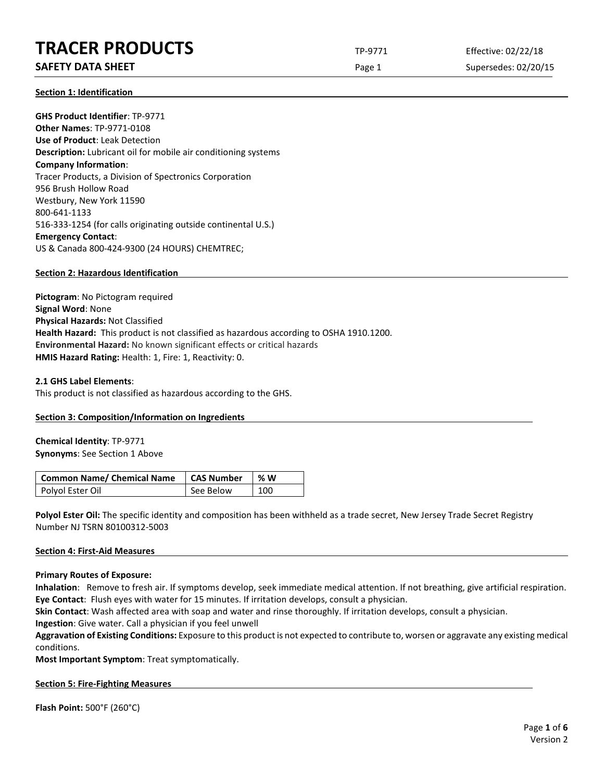## **TRACER PRODUCTS** TP-9771 Effective: 02/22/18

## **SAFETY DATA SHEET** SUPERFOUR CONSUMING THE Page 1 Supersedes: 02/20/15

**Section 1: Identification**

**GHS Product Identifier**: TP-9771 **Other Names**: TP-9771-0108 **Use of Product**: Leak Detection **Description:** Lubricant oil for mobile air conditioning systems **Company Information**: Tracer Products, a Division of Spectronics Corporation 956 Brush Hollow Road Westbury, New York 11590 800-641-1133 516-333-1254 (for calls originating outside continental U.S.) **Emergency Contact**: US & Canada 800-424-9300 (24 HOURS) CHEMTREC;

## **Section 2: Hazardous Identification**

**Pictogram**: No Pictogram required **Signal Word**: None **Physical Hazards:** Not Classified **Health Hazard:** This product is not classified as hazardous according to OSHA 1910.1200. **Environmental Hazard:** No known significant effects or critical hazards **HMIS Hazard Rating:** Health: 1, Fire: 1, Reactivity: 0.

## **2.1 GHS Label Elements**:

This product is not classified as hazardous according to the GHS.

## **Section 3: Composition/Information on Ingredients**

**Chemical Identity**: TP-9771 **Synonyms**: See Section 1 Above

| Common Name/ Chemical Name   CAS Number |           | % W |
|-----------------------------------------|-----------|-----|
| Polyol Ester Oil                        | See Below | 100 |

**Polyol Ester Oil:** The specific identity and composition has been withheld as a trade secret, New Jersey Trade Secret Registry Number NJ TSRN 80100312-5003

## **Section 4: First-Aid Measures**

## **Primary Routes of Exposure:**

**Inhalation**: Remove to fresh air. If symptoms develop, seek immediate medical attention. If not breathing, give artificial respiration. **Eye Contact**: Flush eyes with water for 15 minutes. If irritation develops, consult a physician.

**Skin Contact**: Wash affected area with soap and water and rinse thoroughly. If irritation develops, consult a physician.

**Ingestion**: Give water. Call a physician if you feel unwell

**Aggravation of Existing Conditions:** Exposure to this product is not expected to contribute to, worsen or aggravate any existing medical conditions.

**Most Important Symptom**: Treat symptomatically.

## **Section 5: Fire-Fighting Measures**

**Flash Point:** 500°F (260°C)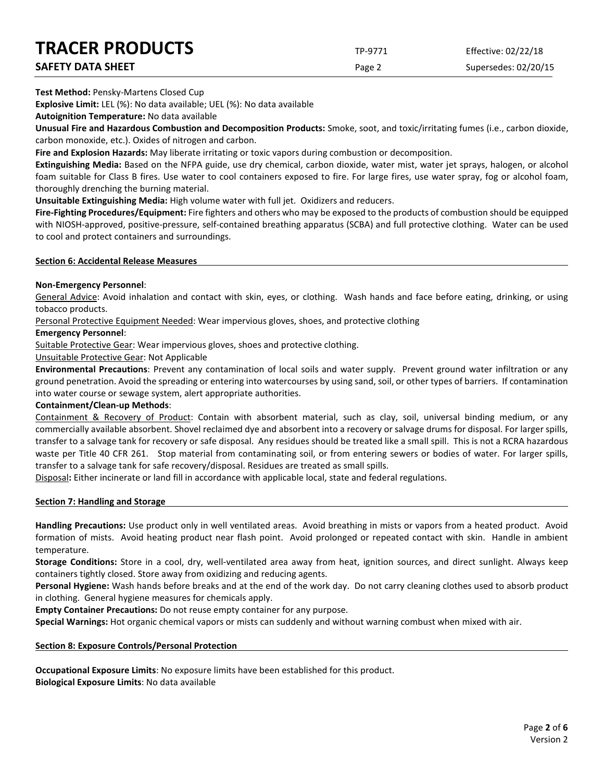| <b>TRACER PRODUCTS</b>   | TP-9771 | Effective: 02/22/18  |
|--------------------------|---------|----------------------|
| <b>SAFETY DATA SHEET</b> | Page 2  | Supersedes: 02/20/15 |

**Test Method:** Pensky-Martens Closed Cup

**Explosive Limit:** LEL (%): No data available; UEL (%): No data available

**Autoignition Temperature:** No data available

**Unusual Fire and Hazardous Combustion and Decomposition Products:** Smoke, soot, and toxic/irritating fumes (i.e., carbon dioxide, carbon monoxide, etc.). Oxides of nitrogen and carbon.

**Fire and Explosion Hazards:** May liberate irritating or toxic vapors during combustion or decomposition.

**Extinguishing Media:** Based on the NFPA guide, use dry chemical, carbon dioxide, water mist, water jet sprays, halogen, or alcohol foam suitable for Class B fires. Use water to cool containers exposed to fire. For large fires, use water spray, fog or alcohol foam, thoroughly drenching the burning material.

**Unsuitable Extinguishing Media:** High volume water with full jet. Oxidizers and reducers.

**Fire-Fighting Procedures/Equipment:** Fire fighters and others who may be exposed to the products of combustion should be equipped with NIOSH-approved, positive-pressure, self-contained breathing apparatus (SCBA) and full protective clothing. Water can be used to cool and protect containers and surroundings.

#### **Section 6: Accidental Release Measures**

#### **Non-Emergency Personnel**:

General Advice: Avoid inhalation and contact with skin, eyes, or clothing. Wash hands and face before eating, drinking, or using tobacco products.

Personal Protective Equipment Needed: Wear impervious gloves, shoes, and protective clothing

#### **Emergency Personnel**:

Suitable Protective Gear: Wear impervious gloves, shoes and protective clothing.

Unsuitable Protective Gear: Not Applicable

**Environmental Precautions**: Prevent any contamination of local soils and water supply. Prevent ground water infiltration or any ground penetration. Avoid the spreading or entering into watercourses by using sand, soil, or other types of barriers. If contamination into water course or sewage system, alert appropriate authorities.

#### **Containment/Clean-up Methods**:

Containment & Recovery of Product: Contain with absorbent material, such as clay, soil, universal binding medium, or any commercially available absorbent. Shovel reclaimed dye and absorbent into a recovery or salvage drums for disposal. For larger spills, transfer to a salvage tank for recovery or safe disposal. Any residues should be treated like a small spill. This is not a RCRA hazardous waste per Title 40 CFR 261. Stop material from contaminating soil, or from entering sewers or bodies of water. For larger spills, transfer to a salvage tank for safe recovery/disposal. Residues are treated as small spills.

Disposal**:** Either incinerate or land fill in accordance with applicable local, state and federal regulations.

#### **Section 7: Handling and Storage**

**Handling Precautions:** Use product only in well ventilated areas. Avoid breathing in mists or vapors from a heated product. Avoid formation of mists. Avoid heating product near flash point. Avoid prolonged or repeated contact with skin. Handle in ambient temperature.

**Storage Conditions:** Store in a cool, dry, well-ventilated area away from heat, ignition sources, and direct sunlight. Always keep containers tightly closed. Store away from oxidizing and reducing agents.

**Personal Hygiene:** Wash hands before breaks and at the end of the work day. Do not carry cleaning clothes used to absorb product in clothing. General hygiene measures for chemicals apply.

**Empty Container Precautions:** Do not reuse empty container for any purpose.

**Special Warnings:** Hot organic chemical vapors or mists can suddenly and without warning combust when mixed with air.

#### **Section 8: Exposure Controls/Personal Protection**

**Occupational Exposure Limits**: No exposure limits have been established for this product. **Biological Exposure Limits**: No data available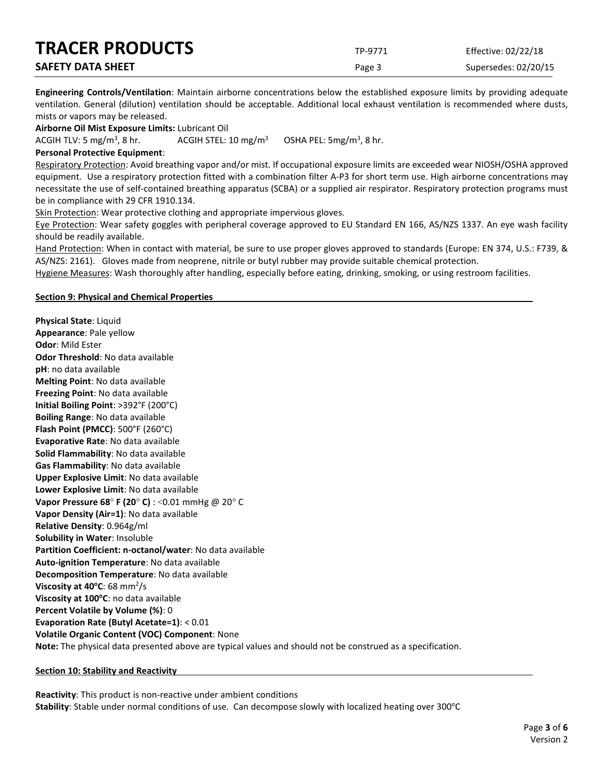| <b>TRACER PRODUCTS</b>   | TP-9771 | Effective: 02/22/18  |
|--------------------------|---------|----------------------|
| <b>SAFETY DATA SHEET</b> | Page 3  | Supersedes: 02/20/15 |

**Engineering Controls/Ventilation**: Maintain airborne concentrations below the established exposure limits by providing adequate ventilation. General (dilution) ventilation should be acceptable. Additional local exhaust ventilation is recommended where dusts, mists or vapors may be released.

**Airborne Oil Mist Exposure Limits:** Lubricant Oil

ACGIH TLV: 5 mg/m<sup>3</sup>, 8 hr. ACGIH STEL:  $10 \text{ mg/m}^3$ OSHA PEL:  $5mg/m<sup>3</sup>$ , 8 hr.

#### **Personal Protective Equipment**:

Respiratory Protection: Avoid breathing vapor and/or mist. If occupational exposure limits are exceeded wear NIOSH/OSHA approved equipment. Use a respiratory protection fitted with a combination filter A-P3 for short term use. High airborne concentrations may necessitate the use of self-contained breathing apparatus (SCBA) or a supplied air respirator. Respiratory protection programs must be in compliance with 29 CFR 1910.134.

Skin Protection: Wear protective clothing and appropriate impervious gloves.

Eye Protection: Wear safety goggles with peripheral coverage approved to EU Standard EN 166, AS/NZS 1337. An eye wash facility should be readily available.

Hand Protection: When in contact with material, be sure to use proper gloves approved to standards (Europe: EN 374, U.S.: F739, & AS/NZS: 2161). Gloves made from neoprene, nitrile or butyl rubber may provide suitable chemical protection.

Hygiene Measures: Wash thoroughly after handling, especially before eating, drinking, smoking, or using restroom facilities.

#### **Section 9: Physical and Chemical Properties**

**Physical State**: Liquid

**Appearance**: Pale yellow **Odor**: Mild Ester **Odor Threshold**: No data available **pH**: no data available **Melting Point**: No data available **Freezing Point**: No data available **Initial Boiling Point**: >392°F (200°C) **Boiling Range**: No data available **Flash Point (PMCC)**: 500°F (260°C) **Evaporative Rate**: No data available **Solid Flammability**: No data available **Gas Flammability**: No data available **Upper Explosive Limit**: No data available **Lower Explosive Limit**: No data available **Vapor Pressure 68**° **F (20**° **C)** : <0.01 mmHg @ 20° C **Vapor Density (Air=1)**: No data available **Relative Density**: 0.964g/ml **Solubility in Water**: Insoluble **Partition Coefficient: n-octanol/water**: No data available **Auto-ignition Temperature**: No data available **Decomposition Temperature**: No data available **Viscosity at 40°C**: 68 mm<sup>2</sup>/s **Viscosity at 100°C**: no data available **Percent Volatile by Volume (%)**: 0 **Evaporation Rate (Butyl Acetate=1)**: < 0.01 **Volatile Organic Content (VOC) Component**: None **Note:** The physical data presented above are typical values and should not be construed as a specification.

#### **Section 10: Stability and Reactivity**

**Reactivity**: This product is non-reactive under ambient conditions Stability: Stable under normal conditions of use. Can decompose slowly with localized heating over 300°C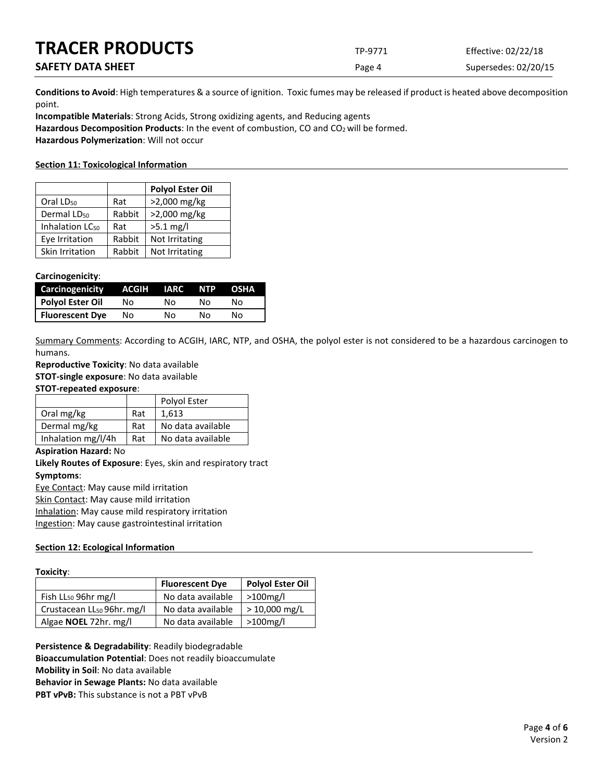| <b>TRACER PRODUCTS</b>   | TP-9771 | Effective: 02/22/18  |
|--------------------------|---------|----------------------|
| <b>SAFETY DATA SHEET</b> | Page 4  | Supersedes: 02/20/15 |

**Conditions to Avoid**: High temperatures & a source of ignition. Toxic fumes may be released if product is heated above decomposition point.

**Incompatible Materials**: Strong Acids, Strong oxidizing agents, and Reducing agents Hazardous Decomposition Products: In the event of combustion, CO and CO<sub>2</sub> will be formed. **Hazardous Polymerization**: Will not occur

### **Section 11: Toxicological Information**

|                             |        | <b>Polyol Ester Oil</b> |
|-----------------------------|--------|-------------------------|
| Oral LD <sub>50</sub>       | Rat    | >2,000 mg/kg            |
| Dermal LD <sub>50</sub>     | Rabbit | >2,000 mg/kg            |
| Inhalation LC <sub>50</sub> | Rat    | $>5.1$ mg/l             |
| Eve Irritation              | Rabbit | Not Irritating          |
| Skin Irritation             | Rabbit | Not Irritating          |

#### **Carcinogenicity**:

| Carcinogenicity        | ACGIH | IARC | NTP | <b>OSHA</b> |
|------------------------|-------|------|-----|-------------|
| Polyol Ester Oil       | Nο    | N٥   | N٥  | N٥          |
| <b>Fluorescent Dye</b> | Nο    | No   | N٥  | N٥          |

Summary Comments: According to ACGIH, IARC, NTP, and OSHA, the polyol ester is not considered to be a hazardous carcinogen to humans.

**Reproductive Toxicity**: No data available

**STOT-single exposure**: No data available

**STOT-repeated exposure**:

|                    |     | Polyol Ester      |
|--------------------|-----|-------------------|
| Oral mg/kg         | Rat | 1.613             |
| Dermal mg/kg       | Rat | No data available |
| Inhalation mg/l/4h | Rat | No data available |

#### **Aspiration Hazard:** No

**Likely Routes of Exposure**: Eyes, skin and respiratory tract **Symptoms**:

Eye Contact: May cause mild irritation

Skin Contact: May cause mild irritation

Inhalation: May cause mild respiratory irritation

Ingestion: May cause gastrointestinal irritation

## **Section 12: Ecological Information**

#### **Toxicity**:

|                                        | <b>Fluorescent Dye</b> | Polyol Ester Oil |
|----------------------------------------|------------------------|------------------|
| Fish LL <sub>50</sub> 96hr mg/l        | No data available      | $>100$ mg/l      |
| Crustacean LL <sub>50</sub> 96hr. mg/l | No data available      | $> 10,000$ mg/L  |
| Algae <b>NOEL</b> 72hr. mg/l           | No data available      | >100mg/l         |

**Persistence & Degradability**: Readily biodegradable **Bioaccumulation Potential**: Does not readily bioaccumulate **Mobility in Soil**: No data available **Behavior in Sewage Plants:** No data available **PBT vPvB:** This substance is not a PBT vPvB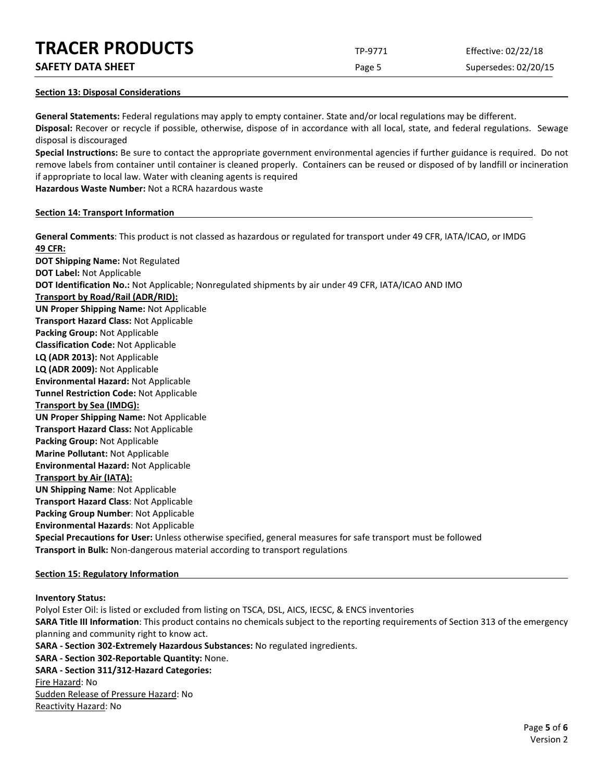## **TRACER PRODUCTS** TP-9771 Effective: 02/22/18

**SAFETY DATA SHEET** SUPERFOUR CONSUMING THE Page 5 Supersedes: 02/20/15

## **Section 13: Disposal Considerations**

**General Statements:** Federal regulations may apply to empty container. State and/or local regulations may be different. **Disposal:** Recover or recycle if possible, otherwise, dispose of in accordance with all local, state, and federal regulations. Sewage disposal is discouraged

**Special Instructions:** Be sure to contact the appropriate government environmental agencies if further guidance is required. Do not remove labels from container until container is cleaned properly. Containers can be reused or disposed of by landfill or incineration if appropriate to local law. Water with cleaning agents is required

**Hazardous Waste Number:** Not a RCRA hazardous waste

## **Section 14: Transport Information**

**General Comments**: This product is not classed as hazardous or regulated for transport under 49 CFR, IATA/ICAO, or IMDG **49 CFR: DOT Shipping Name:** Not Regulated **DOT Label:** Not Applicable **DOT Identification No.:** Not Applicable; Nonregulated shipments by air under 49 CFR, IATA/ICAO AND IMO **Transport by Road/Rail (ADR/RID): UN Proper Shipping Name:** Not Applicable **Transport Hazard Class:** Not Applicable **Packing Group:** Not Applicable **Classification Code:** Not Applicable **LQ (ADR 2013):** Not Applicable **LQ (ADR 2009):** Not Applicable **Environmental Hazard:** Not Applicable **Tunnel Restriction Code:** Not Applicable **Transport by Sea (IMDG): UN Proper Shipping Name:** Not Applicable **Transport Hazard Class:** Not Applicable **Packing Group:** Not Applicable **Marine Pollutant:** Not Applicable **Environmental Hazard:** Not Applicable **Transport by Air (IATA): UN Shipping Name**: Not Applicable **Transport Hazard Class**: Not Applicable **Packing Group Number**: Not Applicable **Environmental Hazards**: Not Applicable **Special Precautions for User:** Unless otherwise specified, general measures for safe transport must be followed **Transport in Bulk:** Non-dangerous material according to transport regulations

## **Section 15: Regulatory Information**

**Inventory Status:** 

Polyol Ester Oil: is listed or excluded from listing on TSCA, DSL, AICS, IECSC, & ENCS inventories **SARA Title III Information**: This product contains no chemicals subject to the reporting requirements of Section 313 of the emergency planning and community right to know act. **SARA - Section 302-Extremely Hazardous Substances:** No regulated ingredients. **SARA - Section 302-Reportable Quantity:** None. **SARA - Section 311/312-Hazard Categories:** Fire Hazard: No Sudden Release of Pressure Hazard: No Reactivity Hazard: No